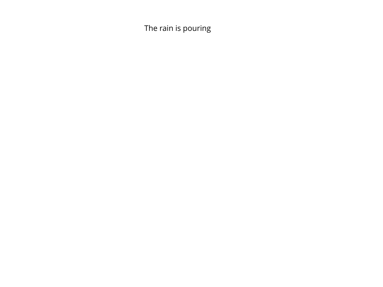The rain is pouring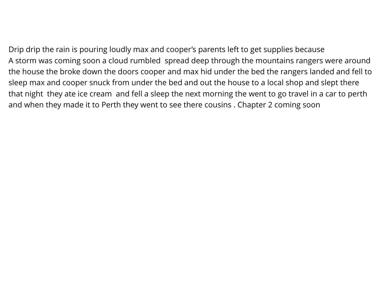Drip drip the rain is pouring loudly max and cooper's parents left to get supplies because A storm was coming soon a cloud rumbled spread deep through the mountains rangers were around the house the broke down the doors cooper and max hid under the bed the rangers landed and fell to sleep max and cooper snuck from under the bed and out the house to a local shop and slept there that night they ate ice cream and fell a sleep the next morning the went to go travel in a car to perth and when they made it to Perth they went to see there cousins . Chapter 2 coming soon